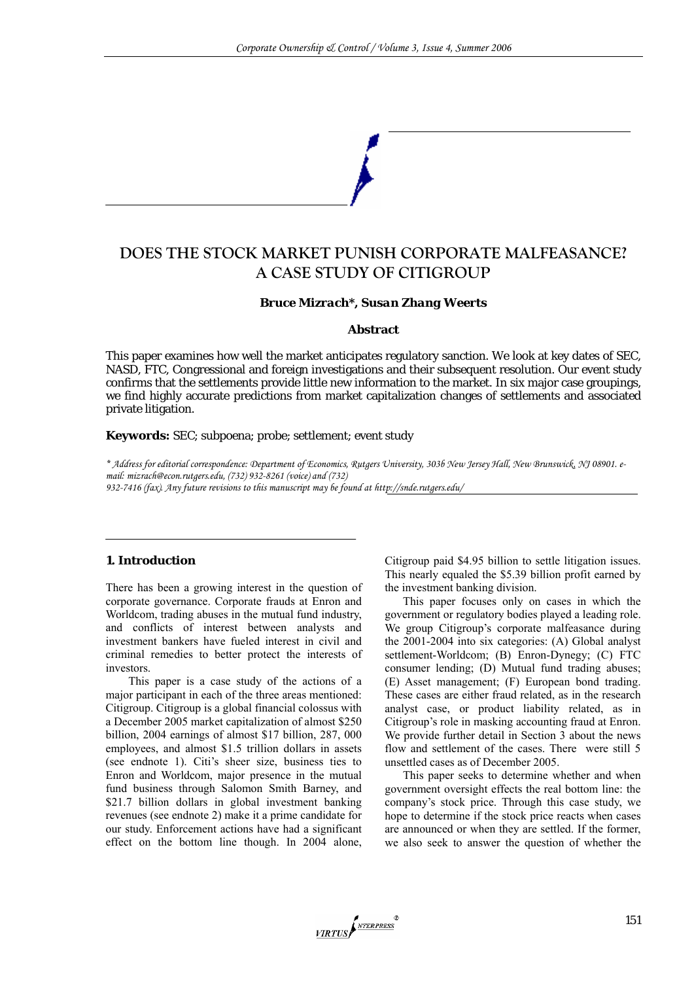# **DOES THE STOCK MARKET PUNISH CORPORATE MALFEASANCE? A CASE STUDY OF CITIGROUP**

### *Bruce Mizrach\*, Susan Zhang Weerts*

#### **Abstract**

This paper examines how well the market anticipates regulatory sanction. We look at key dates of SEC, NASD, FTC, Congressional and foreign investigations and their subsequent resolution. Our event study confirms that the settlements provide little new information to the market. In six major case groupings, we find highly accurate predictions from market capitalization changes of settlements and associated private litigation.

#### **Keywords:** SEC; subpoena; probe; settlement; event study

*\* Address for editorial correspondence: Department of Economics, Rutgers University, 303b New Jersey Hall, New Brunswick, NJ 08901. email: mizrach@econ.rutgers.edu, (732) 932-8261 (voice) and (732) 932-7416 (fax). Any future revisions to this manuscript may be found at http://snde.rutgers.edu/* 

### **1. Introduction**

There has been a growing interest in the question of corporate governance. Corporate frauds at Enron and Worldcom, trading abuses in the mutual fund industry, and conflicts of interest between analysts and investment bankers have fueled interest in civil and criminal remedies to better protect the interests of investors.

This paper is a case study of the actions of a major participant in each of the three areas mentioned: Citigroup. Citigroup is a global financial colossus with a December 2005 market capitalization of almost \$250 billion, 2004 earnings of almost \$17 billion, 287, 000 employees, and almost \$1.5 trillion dollars in assets (see endnote 1). Citi's sheer size, business ties to Enron and Worldcom, major presence in the mutual fund business through Salomon Smith Barney, and \$21.7 billion dollars in global investment banking revenues (see endnote 2) make it a prime candidate for our study. Enforcement actions have had a significant effect on the bottom line though. In 2004 alone,

Citigroup paid \$4.95 billion to settle litigation issues. This nearly equaled the \$5.39 billion profit earned by the investment banking division.

This paper focuses only on cases in which the government or regulatory bodies played a leading role. We group Citigroup's corporate malfeasance during the 2001-2004 into six categories: (A) Global analyst settlement-Worldcom; (B) Enron-Dynegy; (C) FTC consumer lending; (D) Mutual fund trading abuses; (E) Asset management; (F) European bond trading. These cases are either fraud related, as in the research analyst case, or product liability related, as in Citigroup's role in masking accounting fraud at Enron. We provide further detail in Section 3 about the news flow and settlement of the cases. There were still 5 unsettled cases as of December 2005.

This paper seeks to determine whether and when government oversight effects the real bottom line: the company's stock price. Through this case study, we hope to determine if the stock price reacts when cases are announced or when they are settled. If the former, we also seek to answer the question of whether the

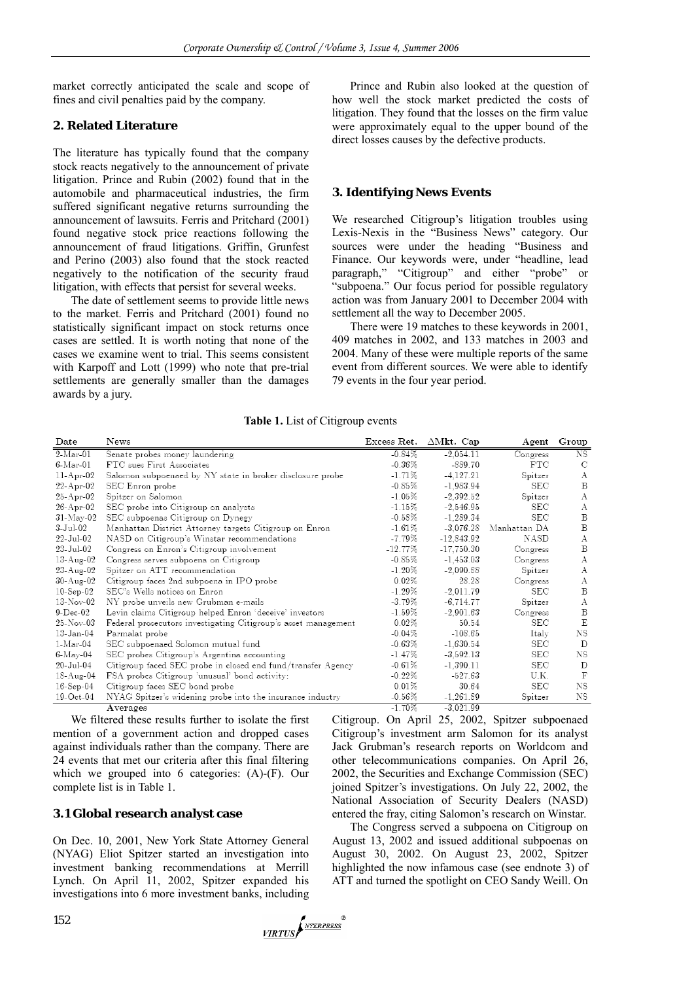market correctly anticipated the scale and scope of fines and civil penalties paid by the company.

## **2. Related Literature**

The literature has typically found that the company stock reacts negatively to the announcement of private litigation. Prince and Rubin (2002) found that in the automobile and pharmaceutical industries, the firm suffered significant negative returns surrounding the announcement of lawsuits. Ferris and Pritchard (2001) found negative stock price reactions following the announcement of fraud litigations. Griffin, Grunfest and Perino (2003) also found that the stock reacted negatively to the notification of the security fraud litigation, with effects that persist for several weeks.

The date of settlement seems to provide little news to the market. Ferris and Pritchard (2001) found no statistically significant impact on stock returns once cases are settled. It is worth noting that none of the cases we examine went to trial. This seems consistent with Karpoff and Lott (1999) who note that pre-trial settlements are generally smaller than the damages awards by a jury.

Prince and Rubin also looked at the question of how well the stock market predicted the costs of litigation. They found that the losses on the firm value were approximately equal to the upper bound of the direct losses causes by the defective products.

## **3. Identifying News Events**

We researched Citigroup's litigation troubles using Lexis-Nexis in the "Business News" category. Our sources were under the heading "Business and Finance. Our keywords were, under "headline, lead paragraph," "Citigroup" and either "probe" or "subpoena." Our focus period for possible regulatory action was from January 2001 to December 2004 with settlement all the way to December 2005.

There were 19 matches to these keywords in 2001, 409 matches in 2002, and 133 matches in 2003 and 2004. Many of these were multiple reports of the same event from different sources. We were able to identify 79 events in the four year period.

|  |  | Table 1. List of Citigroup events |  |
|--|--|-----------------------------------|--|
|--|--|-----------------------------------|--|

| Date            | News                                                           | Excess Ret. | $\Delta$ Mkt. Cap | Agent        | Group        |
|-----------------|----------------------------------------------------------------|-------------|-------------------|--------------|--------------|
| $2-Mar-01$      | Senate probes money laundering                                 | $-0.84%$    | $-2,054.11$       | Congress     | NS           |
| $6$ -Mar-01     | FTC sues First Associates                                      | $-0.36\%$   | -889.70           | $_{\rm FTC}$ | C            |
| $11-Apr-02$     | Salomon subpoenaed by NY state in broker disclosure probe      | $-1.71\%$   | $-4.127.21$       | Spitzer      | А            |
| $22$ -Apr-02    | SEC Enron probe                                                | $-0.85%$    | $-1.983.94$       | SEC          | B            |
| $25$ -Apr-02    | Spitzer on Salomon                                             | $-1.05%$    | $-2.392.52$       | Spitzer      | А            |
| $26$ -Apr-02    | SEC probe into Citigroup on analysts                           | $-1.15%$    | $-2.546.95$       | SEC          | А            |
| $31$ -May-02    | SEC subpoenas Citigroup on Dynegy                              | $-0.58\%$   | $-1.289.34$       | <b>SEC</b>   | B            |
| 3-Jul-02        | Manhattan District Attorney targets Citigroup on Enron         | $-1.61%$    | $-3.076.28$       | Manhattan DA | B            |
| $22$ -Jul-02    | NASD on Citigroup's Winstar recommendations                    | $-7.79\%$   | $-12.843.92$      | NASD         | А            |
| 23-Jul-02       | Congress on Enron's Citigroup involvement                      | $-12.77\%$  | $-17,750.30$      | Congress     | B            |
| $13$ -Aug- $02$ | Congress serves subpoena on Citigroup                          | $-0.85%$    | $-1.453.03$       | Congress     | А            |
| $23$ -Aug- $02$ | Spitzer on ATT recommendation                                  | $-1.20\%$   | $-2.090.88$       | Spitzer      | А            |
| $30-Aug-02$     | Citigroup faces 2nd subpoena in IPO probe                      | 0.02%       | 28.28             | Congress     | А            |
| $10-Sep-02$     | SEC's Wells notices on Enron                                   | $-1.29\%$   | $-2.011.79$       | SEC          | B            |
| $13-Nov-02$     | NY probe unveils new Grubman e-mails                           | $-3.79%$    | $-6.714.77$       | Spitzer      | А            |
| $9-Dec-02$      | Levin claims Citigroup helped Enron 'deceive' investors        | $-1.59\%$   | $-2,901.63$       | Congress     | B            |
| $25$ -Nov-03    | Federal prosecutors investigating Citigroup's asset management | $0.02\%$    | 50.54             | SEC          | E            |
| $13$ -Jan- $04$ | Parmalat probe                                                 | $-0.04%$    | $-108.65$         | Italy        | NS           |
| $1-Mar-04$      | SEC subpoenaed Solomon mutual fund                             | $-0.63\%$   | $-1,630.54$       | SEC          | D            |
| $6$ -May-04     | SEC probes Citigroup's Argentina accounting                    | $-1.47\%$   | $-3,592.13$       | SEC          | NS           |
| $20$ -Jul- $04$ | Citigroup faced SEC probe in closed end fund/transfer Agency   | $-0.61%$    | $-1,390.11$       | SEC          | D            |
| 18-Aug-04       | FSA probes Citigroup 'unusual' bond activity:                  | $-0.22%$    | $-527.63$         | U.K.         | $\mathbf{F}$ |
| $16$ -Sep- $04$ | Citigroup faces SEC bond probe                                 | 0.01%       | 30.64             | SEC          | NS           |
| $19-Oct-04$     | NYAG Spitzer's widening probe into the insurance industry      | $-0.56\%$   | $-1,261.89$       | Spitzer      | NS           |
|                 | Averages                                                       | $-1.70%$    | $-3,021.99$       |              |              |

We filtered these results further to isolate the first mention of a government action and dropped cases against individuals rather than the company. There are 24 events that met our criteria after this final filtering which we grouped into 6 categories: (A)-(F). Our complete list is in Table 1.

### **3.1 Global research analyst case**

On Dec. 10, 2001, New York State Attorney General (NYAG) Eliot Spitzer started an investigation into investment banking recommendations at Merrill Lynch. On April 11, 2002, Spitzer expanded his investigations into 6 more investment banks, including Citigroup. On April 25, 2002, Spitzer subpoenaed Citigroup's investment arm Salomon for its analyst Jack Grubman's research reports on Worldcom and other telecommunications companies. On April 26, 2002, the Securities and Exchange Commission (SEC) joined Spitzer's investigations. On July 22, 2002, the National Association of Security Dealers (NASD) entered the fray, citing Salomon's research on Winstar.

The Congress served a subpoena on Citigroup on August 13, 2002 and issued additional subpoenas on August 30, 2002. On August 23, 2002, Spitzer highlighted the now infamous case (see endnote 3) of ATT and turned the spotlight on CEO Sandy Weill. On

VIRTUS NTERPRESS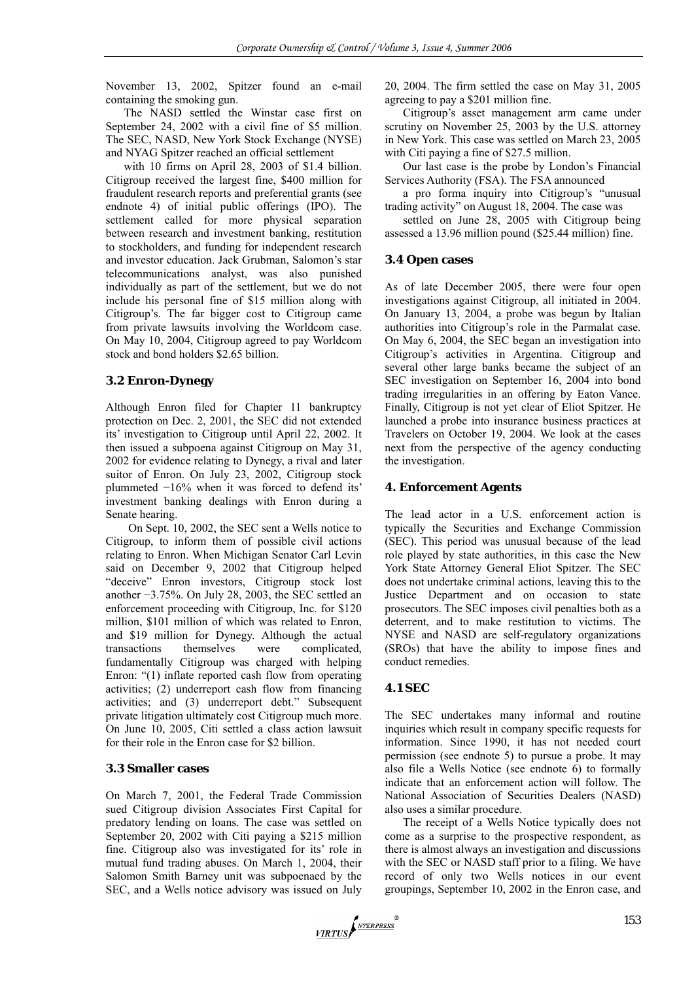November 13, 2002, Spitzer found an e-mail containing the smoking gun.

The NASD settled the Winstar case first on September 24, 2002 with a civil fine of \$5 million. The SEC, NASD, New York Stock Exchange (NYSE) and NYAG Spitzer reached an official settlement

with 10 firms on April 28, 2003 of \$1.4 billion. Citigroup received the largest fine, \$400 million for fraudulent research reports and preferential grants (see endnote 4) of initial public offerings (IPO). The settlement called for more physical separation between research and investment banking, restitution to stockholders, and funding for independent research and investor education. Jack Grubman, Salomon's star telecommunications analyst, was also punished individually as part of the settlement, but we do not include his personal fine of \$15 million along with Citigroup's. The far bigger cost to Citigroup came from private lawsuits involving the Worldcom case. On May 10, 2004, Citigroup agreed to pay Worldcom stock and bond holders \$2.65 billion.

## **3.2 Enron-Dynegy**

Although Enron filed for Chapter 11 bankruptcy protection on Dec. 2, 2001, the SEC did not extended its' investigation to Citigroup until April 22, 2002. It then issued a subpoena against Citigroup on May 31, 2002 for evidence relating to Dynegy, a rival and later suitor of Enron. On July 23, 2002, Citigroup stock plummeted −16% when it was forced to defend its' investment banking dealings with Enron during a Senate hearing.

On Sept. 10, 2002, the SEC sent a Wells notice to Citigroup, to inform them of possible civil actions relating to Enron. When Michigan Senator Carl Levin said on December 9, 2002 that Citigroup helped "deceive" Enron investors, Citigroup stock lost another −3.75%. On July 28, 2003, the SEC settled an enforcement proceeding with Citigroup, Inc. for \$120 million, \$101 million of which was related to Enron, and \$19 million for Dynegy. Although the actual transactions themselves were complicated, fundamentally Citigroup was charged with helping Enron: "(1) inflate reported cash flow from operating activities; (2) underreport cash flow from financing activities; and (3) underreport debt." Subsequent private litigation ultimately cost Citigroup much more. On June 10, 2005, Citi settled a class action lawsuit for their role in the Enron case for \$2 billion.

## **3.3 Smaller cases**

On March 7, 2001, the Federal Trade Commission sued Citigroup division Associates First Capital for predatory lending on loans. The case was settled on September 20, 2002 with Citi paying a \$215 million fine. Citigroup also was investigated for its' role in mutual fund trading abuses. On March 1, 2004, their Salomon Smith Barney unit was subpoenaed by the SEC, and a Wells notice advisory was issued on July

20, 2004. The firm settled the case on May 31, 2005 agreeing to pay a \$201 million fine.

Citigroup's asset management arm came under scrutiny on November 25, 2003 by the U.S. attorney in New York. This case was settled on March 23, 2005 with Citi paying a fine of \$27.5 million.

Our last case is the probe by London's Financial Services Authority (FSA). The FSA announced

a pro forma inquiry into Citigroup's "unusual trading activity" on August 18, 2004. The case was

settled on June 28, 2005 with Citigroup being assessed a 13.96 million pound (\$25.44 million) fine.

## **3.4 Open cases**

As of late December 2005, there were four open investigations against Citigroup, all initiated in 2004. On January 13, 2004, a probe was begun by Italian authorities into Citigroup's role in the Parmalat case. On May 6, 2004, the SEC began an investigation into Citigroup's activities in Argentina. Citigroup and several other large banks became the subject of an SEC investigation on September 16, 2004 into bond trading irregularities in an offering by Eaton Vance. Finally, Citigroup is not yet clear of Eliot Spitzer. He launched a probe into insurance business practices at Travelers on October 19, 2004. We look at the cases next from the perspective of the agency conducting the investigation.

## **4. Enforcement Agents**

The lead actor in a U.S. enforcement action is typically the Securities and Exchange Commission (SEC). This period was unusual because of the lead role played by state authorities, in this case the New York State Attorney General Eliot Spitzer. The SEC does not undertake criminal actions, leaving this to the Justice Department and on occasion to state prosecutors. The SEC imposes civil penalties both as a deterrent, and to make restitution to victims. The NYSE and NASD are self-regulatory organizations (SROs) that have the ability to impose fines and conduct remedies.

## **4.1 SEC**

The SEC undertakes many informal and routine inquiries which result in company specific requests for information. Since 1990, it has not needed court permission (see endnote 5) to pursue a probe. It may also file a Wells Notice (see endnote 6) to formally indicate that an enforcement action will follow. The National Association of Securities Dealers (NASD) also uses a similar procedure.

The receipt of a Wells Notice typically does not come as a surprise to the prospective respondent, as there is almost always an investigation and discussions with the SEC or NASD staff prior to a filing. We have record of only two Wells notices in our event groupings, September 10, 2002 in the Enron case, and

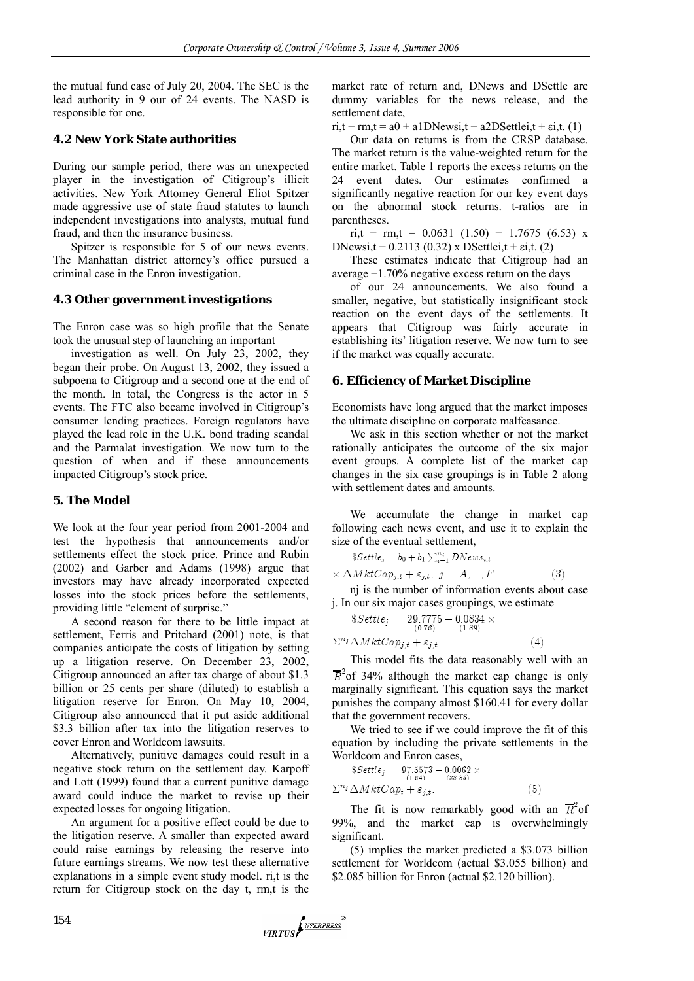the mutual fund case of July 20, 2004. The SEC is the lead authority in 9 our of 24 events. The NASD is responsible for one.

## **4.2 New York State authorities**

During our sample period, there was an unexpected player in the investigation of Citigroup's illicit activities. New York Attorney General Eliot Spitzer made aggressive use of state fraud statutes to launch independent investigations into analysts, mutual fund fraud, and then the insurance business.

Spitzer is responsible for 5 of our news events. The Manhattan district attorney's office pursued a criminal case in the Enron investigation.

### **4.3 Other government investigations**

The Enron case was so high profile that the Senate took the unusual step of launching an important

investigation as well. On July 23, 2002, they began their probe. On August 13, 2002, they issued a subpoena to Citigroup and a second one at the end of the month. In total, the Congress is the actor in 5 events. The FTC also became involved in Citigroup's consumer lending practices. Foreign regulators have played the lead role in the U.K. bond trading scandal and the Parmalat investigation. We now turn to the question of when and if these announcements impacted Citigroup's stock price.

### **5. The Model**

We look at the four year period from 2001-2004 and test the hypothesis that announcements and/or settlements effect the stock price. Prince and Rubin (2002) and Garber and Adams (1998) argue that investors may have already incorporated expected losses into the stock prices before the settlements, providing little "element of surprise."

A second reason for there to be little impact at settlement, Ferris and Pritchard (2001) note, is that companies anticipate the costs of litigation by setting up a litigation reserve. On December 23, 2002, Citigroup announced an after tax charge of about \$1.3 billion or 25 cents per share (diluted) to establish a litigation reserve for Enron. On May 10, 2004, Citigroup also announced that it put aside additional \$3.3 billion after tax into the litigation reserves to cover Enron and Worldcom lawsuits.

Alternatively, punitive damages could result in a negative stock return on the settlement day. Karpoff and Lott (1999) found that a current punitive damage award could induce the market to revise up their expected losses for ongoing litigation.

An argument for a positive effect could be due to the litigation reserve. A smaller than expected award could raise earnings by releasing the reserve into future earnings streams. We now test these alternative explanations in a simple event study model. ri,t is the return for Citigroup stock on the day t, rm,t is the market rate of return and, DNews and DSettle are dummy variables for the news release, and the settlement date,

 $ri, t - rm, t = a0 + a1DNewsi, t + a2DSettlei, t + si, t.$  (1)

Our data on returns is from the CRSP database. The market return is the value-weighted return for the entire market. Table 1 reports the excess returns on the 24 event dates. Our estimates confirmed a significantly negative reaction for our key event days on the abnormal stock returns. t-ratios are in parentheses.

ri,t – rm,t = 0.0631 (1.50) – 1.7675 (6.53) x DNewsi,t – 0.2113 (0.32) x DSettlei,t +  $\text{ei}, t$ . (2)

These estimates indicate that Citigroup had an average −1.70% negative excess return on the days

of our 24 announcements. We also found a smaller, negative, but statistically insignificant stock reaction on the event days of the settlements. It appears that Citigroup was fairly accurate in establishing its' litigation reserve. We now turn to see if the market was equally accurate.

## **6. Efficiency of Market Discipline**

Economists have long argued that the market imposes the ultimate discipline on corporate malfeasance.

We ask in this section whether or not the market rationally anticipates the outcome of the six major event groups. A complete list of the market cap changes in the six case groupings is in Table 2 along with settlement dates and amounts.

We accumulate the change in market cap following each news event, and use it to explain the size of the eventual settlement,

$$
\$Settle_j = b_0 + b_1 \sum_{i=1}^{n_j} DNews_{i,t}
$$

$$
\Delta Mkt Cap_{j,t} + \varepsilon_{j,t}, \ j = A, ..., F
$$
(3)

nj is the number of information events about case j. In our six major cases groupings, we estimate

$$
\$Settle_j = 29.7775 - 0.0834 \times
$$
  
\n
$$
\sum_{i} n_i \Delta Mkt Cap_{i,t} + \varepsilon_{i,t}.
$$
 (4)

This model fits the data reasonably well with an  $\overline{R}^2$  of 34% although the market cap change is only marginally significant. This equation says the market punishes the company almost \$160.41 for every dollar that the government recovers.

We tried to see if we could improve the fit of this equation by including the private settlements in the Worldcom and Enron cases,

$$
Ssettle_j = 97.5573 - 0.0062 \times
$$
  
\n
$$
\sum_{i} N_k tC \alpha p_t + \varepsilon_{j,t}.
$$
 (5)

The fit is now remarkably good with an  $\overline{R}^2$  of 99%, and the market cap is overwhelmingly significant.

(5) implies the market predicted a \$3.073 billion settlement for Worldcom (actual \$3.055 billion) and \$2.085 billion for Enron (actual \$2.120 billion).